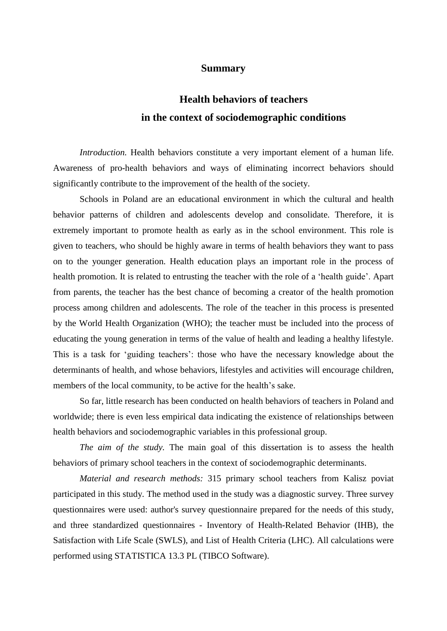## **Summary**

## **Health behaviors of teachers in the context of sociodemographic conditions**

*Introduction.* Health behaviors constitute a very important element of a human life. Awareness of pro-health behaviors and ways of eliminating incorrect behaviors should significantly contribute to the improvement of the health of the society.

Schools in Poland are an educational environment in which the cultural and health behavior patterns of children and adolescents develop and consolidate. Therefore, it is extremely important to promote health as early as in the school environment. This role is given to teachers, who should be highly aware in terms of health behaviors they want to pass on to the younger generation. Health education plays an important role in the process of health promotion. It is related to entrusting the teacher with the role of a 'health guide'. Apart from parents, the teacher has the best chance of becoming a creator of the health promotion process among children and adolescents. The role of the teacher in this process is presented by the World Health Organization (WHO); the teacher must be included into the process of educating the young generation in terms of the value of health and leading a healthy lifestyle. This is a task for 'guiding teachers': those who have the necessary knowledge about the determinants of health, and whose behaviors, lifestyles and activities will encourage children, members of the local community, to be active for the health's sake.

So far, little research has been conducted on health behaviors of teachers in Poland and worldwide; there is even less empirical data indicating the existence of relationships between health behaviors and sociodemographic variables in this professional group.

*The aim of the study.* The main goal of this dissertation is to assess the health behaviors of primary school teachers in the context of sociodemographic determinants.

*Material and research methods:* 315 primary school teachers from Kalisz poviat participated in this study. The method used in the study was a diagnostic survey. Three survey questionnaires were used: author's survey questionnaire prepared for the needs of this study, and three standardized questionnaires - Inventory of Health-Related Behavior (IHB), the Satisfaction with Life Scale (SWLS), and List of Health Criteria (LHC). All calculations were performed using STATISTICA 13.3 PL (TIBCO Software).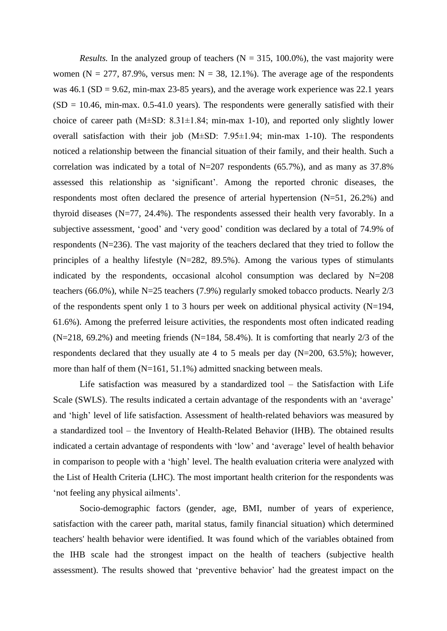*Results.* In the analyzed group of teachers  $(N = 315, 100.0\%)$ , the vast majority were women ( $N = 277$ , 87.9%, versus men:  $N = 38$ , 12.1%). The average age of the respondents was  $46.1$  (SD = 9.62, min-max 23-85 years), and the average work experience was 22.1 years  $(SD = 10.46$ , min-max. 0.5-41.0 years). The respondents were generally satisfied with their choice of career path  $(M\pm SD: 8.31\pm 1.84; \text{ min-max } 1-10)$ , and reported only slightly lower overall satisfaction with their job (M±SD: 7.95±1.94; min-max 1-10). The respondents noticed a relationship between the financial situation of their family, and their health. Such a correlation was indicated by a total of  $N=207$  respondents (65.7%), and as many as 37.8% assessed this relationship as 'significant'. Among the reported chronic diseases, the respondents most often declared the presence of arterial hypertension (N=51, 26.2%) and thyroid diseases (N=77, 24.4%). The respondents assessed their health very favorably. In a subjective assessment, 'good' and 'very good' condition was declared by a total of 74.9% of respondents (N=236). The vast majority of the teachers declared that they tried to follow the principles of a healthy lifestyle (N=282, 89.5%). Among the various types of stimulants indicated by the respondents, occasional alcohol consumption was declared by  $N=208$ teachers (66.0%), while N=25 teachers (7.9%) regularly smoked tobacco products. Nearly 2/3 of the respondents spent only 1 to 3 hours per week on additional physical activity (N=194, 61.6%). Among the preferred leisure activities, the respondents most often indicated reading  $(N=218, 69.2\%)$  and meeting friends  $(N=184, 58.4\%)$ . It is comforting that nearly 2/3 of the respondents declared that they usually ate 4 to 5 meals per day (N=200, 63.5%); however, more than half of them (N=161, 51.1%) admitted snacking between meals.

Life satisfaction was measured by a standardized tool – the Satisfaction with Life Scale (SWLS). The results indicated a certain advantage of the respondents with an 'average' and 'high' level of life satisfaction. Assessment of health-related behaviors was measured by a standardized tool – the Inventory of Health-Related Behavior (IHB). The obtained results indicated a certain advantage of respondents with 'low' and 'average' level of health behavior in comparison to people with a 'high' level. The health evaluation criteria were analyzed with the List of Health Criteria (LHC). The most important health criterion for the respondents was 'not feeling any physical ailments'.

Socio-demographic factors (gender, age, BMI, number of years of experience, satisfaction with the career path, marital status, family financial situation) which determined teachers' health behavior were identified. It was found which of the variables obtained from the IHB scale had the strongest impact on the health of teachers (subjective health assessment). The results showed that 'preventive behavior' had the greatest impact on the